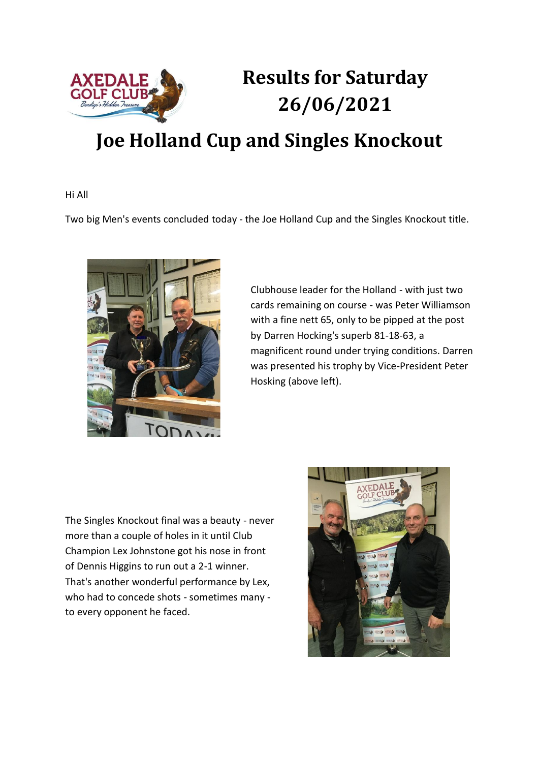

## **Results for Saturday 26/06/2021**

## **Joe Holland Cup and Singles Knockout**

Hi All

Two big Men's events concluded today - the Joe Holland Cup and the Singles Knockout title.



Clubhouse leader for the Holland - with just two cards remaining on course - was Peter Williamson with a fine nett 65, only to be pipped at the post by Darren Hocking's superb 81-18-63, a magnificent round under trying conditions. Darren was presented his trophy by Vice-President Peter Hosking (above left).

The Singles Knockout final was a beauty - never more than a couple of holes in it until Club Champion Lex Johnstone got his nose in front of Dennis Higgins to run out a 2-1 winner. That's another wonderful performance by Lex, who had to concede shots - sometimes many to every opponent he faced.

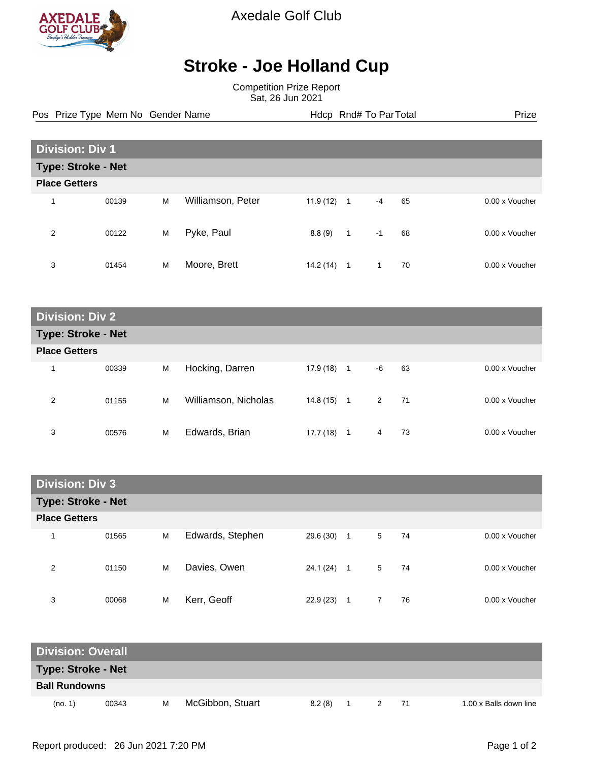

Axedale Golf Club

## **Stroke - Joe Holland Cup**

Competition Prize Report Sat, 26 Jun 2021

Pos Prize Type Mem No Gender Name **Health Hotel Rnd# To ParTotal** Prize

| <b>Division: Div 1</b>    |       |   |                   |           |                |      |    |                |
|---------------------------|-------|---|-------------------|-----------|----------------|------|----|----------------|
| <b>Type: Stroke - Net</b> |       |   |                   |           |                |      |    |                |
| <b>Place Getters</b>      |       |   |                   |           |                |      |    |                |
| 4                         | 00139 | M | Williamson, Peter | 11.9(12)  | $\overline{1}$ | $-4$ | 65 | 0.00 x Voucher |
| 2                         | 00122 | M | Pyke, Paul        | 8.8(9)    | $\mathbf{1}$   | $-1$ | 68 | 0.00 x Voucher |
| 3                         | 01454 | M | Moore, Brett      | 14.2 (14) | 1              | 1    | 70 | 0.00 x Voucher |

| <b>Division: Div 2</b>    |       |   |                      |           |              |             |    |                |  |
|---------------------------|-------|---|----------------------|-----------|--------------|-------------|----|----------------|--|
| <b>Type: Stroke - Net</b> |       |   |                      |           |              |             |    |                |  |
| <b>Place Getters</b>      |       |   |                      |           |              |             |    |                |  |
| 1                         | 00339 | M | Hocking, Darren      | 17.9 (18) | $\mathbf{1}$ | -6          | 63 | 0.00 x Voucher |  |
| 2                         | 01155 | M | Williamson, Nicholas | 14.8 (15) | 1            | $2^{\circ}$ | 71 | 0.00 x Voucher |  |
| 3                         | 00576 | M | Edwards, Brian       | 17.7 (18) | 1            | 4           | 73 | 0.00 x Voucher |  |

| <b>Division: Div 3</b> |                           |   |                  |              |                |   |    |                |  |  |
|------------------------|---------------------------|---|------------------|--------------|----------------|---|----|----------------|--|--|
|                        | <b>Type: Stroke - Net</b> |   |                  |              |                |   |    |                |  |  |
| <b>Place Getters</b>   |                           |   |                  |              |                |   |    |                |  |  |
| 1                      | 01565                     | M | Edwards, Stephen | 29.6 (30)    | $\overline{1}$ | 5 | 74 | 0.00 x Voucher |  |  |
| 2                      | 01150                     | M | Davies, Owen     | $24.1(24)$ 1 |                | 5 | 74 | 0.00 x Voucher |  |  |
| 3                      | 00068                     | М | Kerr, Geoff      | 22.9(23)     | 1              |   | 76 | 0.00 x Voucher |  |  |

| <b>Division: Overall</b>  |       |   |                  |        |  |    |                        |
|---------------------------|-------|---|------------------|--------|--|----|------------------------|
| <b>Type: Stroke - Net</b> |       |   |                  |        |  |    |                        |
| <b>Ball Rundowns</b>      |       |   |                  |        |  |    |                        |
| (no. 1)                   | 00343 | M | McGibbon, Stuart | 8.2(8) |  | 71 | 1.00 x Balls down line |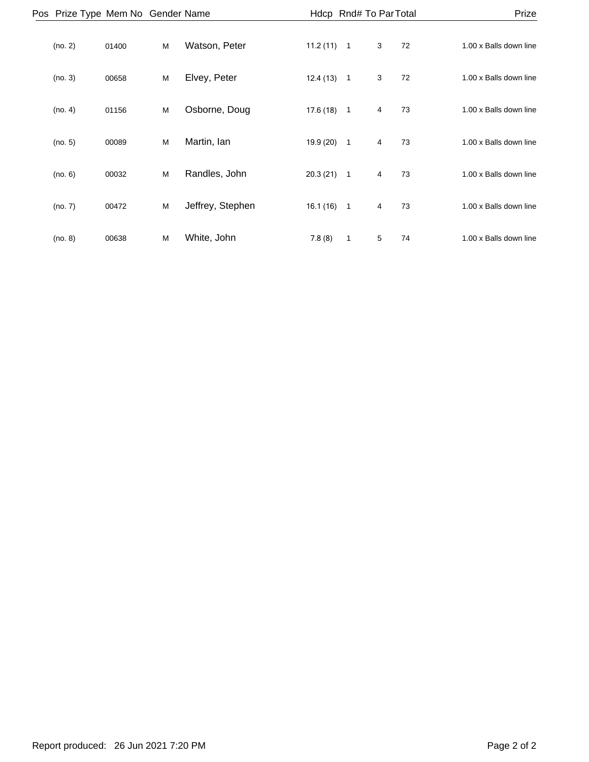| Prize                  |    |   |                | Hdcp Rnd# To Par Total |                  |   |       | Pos Prize Type Mem No Gender Name |  |
|------------------------|----|---|----------------|------------------------|------------------|---|-------|-----------------------------------|--|
| 1.00 x Balls down line | 72 | 3 |                | $11.2(11)$ 1           | Watson, Peter    | M | 01400 | (no. 2)                           |  |
| 1.00 x Balls down line | 72 | 3 | $\overline{1}$ | 12.4(13)               | Elvey, Peter     | M | 00658 | (no. 3)                           |  |
| 1.00 x Balls down line | 73 | 4 | $\overline{1}$ | 17.6(18)               | Osborne, Doug    | M | 01156 | (no. 4)                           |  |
| 1.00 x Balls down line | 73 | 4 | $\overline{1}$ | 19.9(20)               | Martin, lan      | M | 00089 | (no. 5)                           |  |
| 1.00 x Balls down line | 73 | 4 | $\overline{1}$ | 20.3(21)               | Randles, John    | M | 00032 | (no. 6)                           |  |
| 1.00 x Balls down line | 73 | 4 | $\overline{1}$ | 16.1(16)               | Jeffrey, Stephen | M | 00472 | (no. 7)                           |  |
| 1.00 x Balls down line | 74 | 5 | $\mathbf{1}$   | 7.8(8)                 | White, John      | M | 00638 | (no. 8)                           |  |